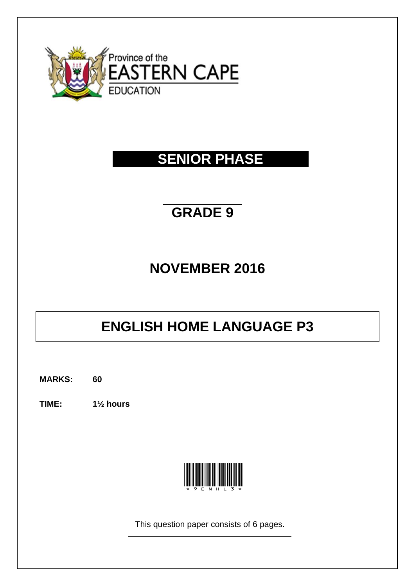

## **SENIOR PHASE**

## **GRADE 9**

## **NOVEMBER 2016**

# **ENGLISH HOME LANGUAGE P3**

**MARKS: 60**

**TIME: 1½ hours**



This question paper consists of 6 pages.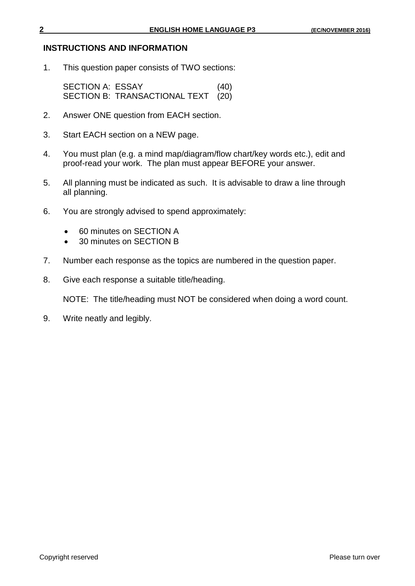#### **INSTRUCTIONS AND INFORMATION**

1. This question paper consists of TWO sections:

SECTION A: ESSAY (40) SECTION B: TRANSACTIONAL TEXT (20)

- 2. Answer ONE question from EACH section.
- 3. Start EACH section on a NEW page.
- 4. You must plan (e.g. a mind map/diagram/flow chart/key words etc.), edit and proof-read your work. The plan must appear BEFORE your answer.
- 5. All planning must be indicated as such. It is advisable to draw a line through all planning.
- 6. You are strongly advised to spend approximately:
	- 60 minutes on SECTION A
	- 30 minutes on SECTION B
- 7. Number each response as the topics are numbered in the question paper.
- 8. Give each response a suitable title/heading.

NOTE: The title/heading must NOT be considered when doing a word count.

9. Write neatly and legibly.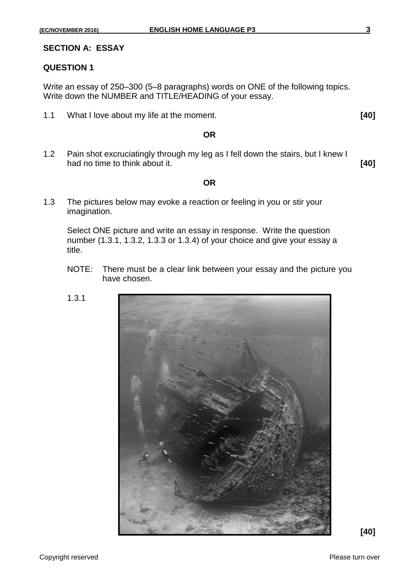#### **SECTION A: ESSAY**

### **QUESTION 1**

Write an essay of 250–300 (5–8 paragraphs) words on ONE of the following topics. Write down the NUMBER and TITLE/HEADING of your essay.

1.1 What I love about my life at the moment. **[40]**

#### **OR**

1.2 Pain shot excruciatingly through my leg as I fell down the stairs, but I knew I had no time to think about it. **[40]**

#### **OR**

1.3 The pictures below may evoke a reaction or feeling in you or stir your imagination.

Select ONE picture and write an essay in response. Write the question number (1.3.1, 1.3.2, 1.3.3 or 1.3.4) of your choice and give your essay a title.

NOTE: There must be a clear link between your essay and the picture you have chosen.





**[40]**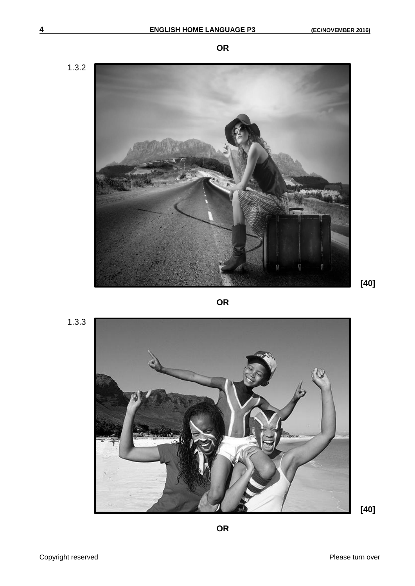1.3.2

R

**[40]**

1.3.3



**OR**

**[40]**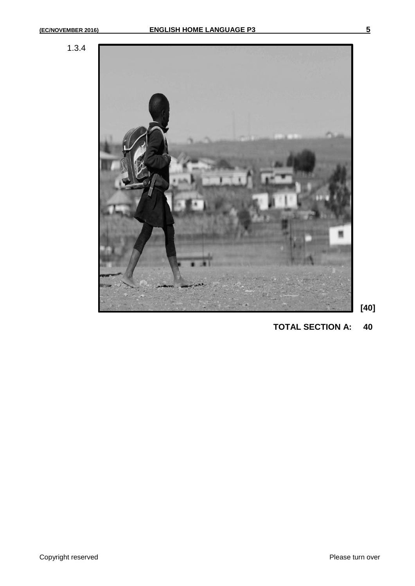1.3.4



**[40]**

**TOTAL SECTION A: 40**